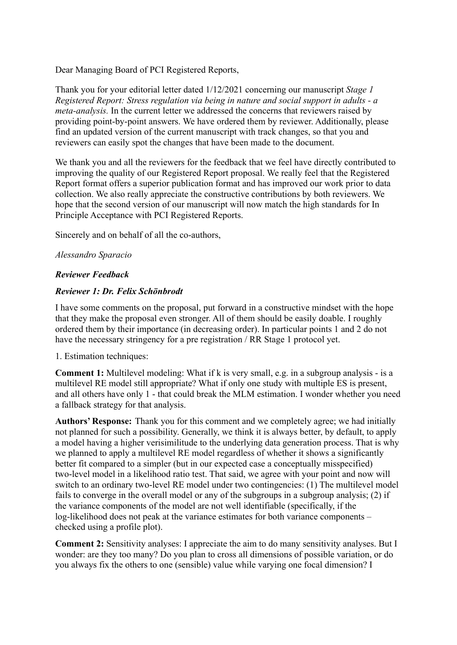Dear Managing Board of PCI Registered Reports,

Thank you for your editorial letter dated 1/12/2021 concerning our manuscript *Stage 1 Registered Report: Stress regulation via being in nature and social support in adults - a meta-analysis.* In the current letter we addressed the concerns that reviewers raised by providing point-by-point answers. We have ordered them by reviewer. Additionally, please find an updated version of the current manuscript with track changes, so that you and reviewers can easily spot the changes that have been made to the document.

We thank you and all the reviewers for the feedback that we feel have directly contributed to improving the quality of our Registered Report proposal. We really feel that the Registered Report format offers a superior publication format and has improved our work prior to data collection. We also really appreciate the constructive contributions by both reviewers. We hope that the second version of our manuscript will now match the high standards for In Principle Acceptance with PCI Registered Reports.

Sincerely and on behalf of all the co-authors,

## *Alessandro Sparacio*

## *Reviewer Feedback*

## *Reviewer 1: Dr. Felix Schönbrodt*

I have some comments on the proposal, put forward in a constructive mindset with the hope that they make the proposal even stronger. All of them should be easily doable. I roughly ordered them by their importance (in decreasing order). In particular points 1 and 2 do not have the necessary stringency for a pre registration / RR Stage 1 protocol yet.

#### 1. Estimation techniques:

**Comment 1:** Multilevel modeling: What if k is very small, e.g. in a subgroup analysis - is a multilevel RE model still appropriate? What if only one study with multiple ES is present, and all others have only 1 - that could break the MLM estimation. I wonder whether you need a fallback strategy for that analysis.

**Authors' Response:** Thank you for this comment and we completely agree; we had initially not planned for such a possibility. Generally, we think it is always better, by default, to apply a model having a higher verisimilitude to the underlying data generation process. That is why we planned to apply a multilevel RE model regardless of whether it shows a significantly better fit compared to a simpler (but in our expected case a conceptually misspecified) two-level model in a likelihood ratio test. That said, we agree with your point and now will switch to an ordinary two-level RE model under two contingencies: (1) The multilevel model fails to converge in the overall model or any of the subgroups in a subgroup analysis; (2) if the variance components of the model are not well identifiable (specifically, if the log-likelihood does not peak at the variance estimates for both variance components – checked using a profile plot).

**Comment 2:** Sensitivity analyses: I appreciate the aim to do many sensitivity analyses. But I wonder: are they too many? Do you plan to cross all dimensions of possible variation, or do you always fix the others to one (sensible) value while varying one focal dimension? I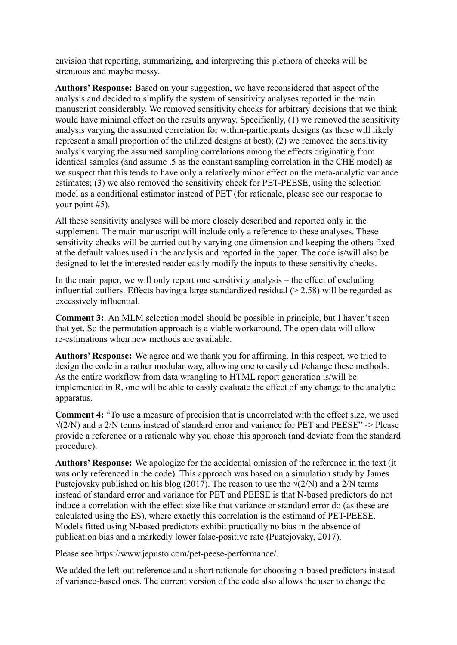envision that reporting, summarizing, and interpreting this plethora of checks will be strenuous and maybe messy.

**Authors' Response:** Based on your suggestion, we have reconsidered that aspect of the analysis and decided to simplify the system of sensitivity analyses reported in the main manuscript considerably. We removed sensitivity checks for arbitrary decisions that we think would have minimal effect on the results anyway. Specifically, (1) we removed the sensitivity analysis varying the assumed correlation for within-participants designs (as these will likely represent a small proportion of the utilized designs at best); (2) we removed the sensitivity analysis varying the assumed sampling correlations among the effects originating from identical samples (and assume .5 as the constant sampling correlation in the CHE model) as we suspect that this tends to have only a relatively minor effect on the meta-analytic variance estimates; (3) we also removed the sensitivity check for PET-PEESE, using the selection model as a conditional estimator instead of PET (for rationale, please see our response to your point #5).

All these sensitivity analyses will be more closely described and reported only in the supplement. The main manuscript will include only a reference to these analyses. These sensitivity checks will be carried out by varying one dimension and keeping the others fixed at the default values used in the analysis and reported in the paper. The code is/will also be designed to let the interested reader easily modify the inputs to these sensitivity checks.

In the main paper, we will only report one sensitivity analysis – the effect of excluding influential outliers. Effects having a large standardized residual  $(> 2.58)$  will be regarded as excessively influential.

**Comment 3:**. An MLM selection model should be possible in principle, but I haven't seen that yet. So the permutation approach is a viable workaround. The open data will allow re-estimations when new methods are available.

**Authors' Response:** We agree and we thank you for affirming. In this respect, we tried to design the code in a rather modular way, allowing one to easily edit/change these methods. As the entire workflow from data wrangling to HTML report generation is/will be implemented in R, one will be able to easily evaluate the effect of any change to the analytic apparatus.

**Comment 4:** "To use a measure of precision that is uncorrelated with the effect size, we used  $\sqrt{(2/N)}$  and a 2/N terms instead of standard error and variance for PET and PEESE" -> Please provide a reference or a rationale why you chose this approach (and deviate from the standard procedure).

**Authors' Response:** We apologize for the accidental omission of the reference in the text (it was only referenced in the code). This approach was based on a simulation study by James Pustejovsky published on his blog (2017). The reason to use the  $\sqrt{(2/N)}$  and a 2/N terms instead of standard error and variance for PET and PEESE is that N-based predictors do not induce a correlation with the effect size like that variance or standard error do (as these are calculated using the ES), where exactly this correlation is the estimand of PET-PEESE. Models fitted using N-based predictors exhibit practically no bias in the absence of publication bias and a markedly lower false-positive rate (Pustejovsky, 2017).

Please see https://www.jepusto.com/pet-peese-performance/.

We added the left-out reference and a short rationale for choosing n-based predictors instead of variance-based ones. The current version of the code also allows the user to change the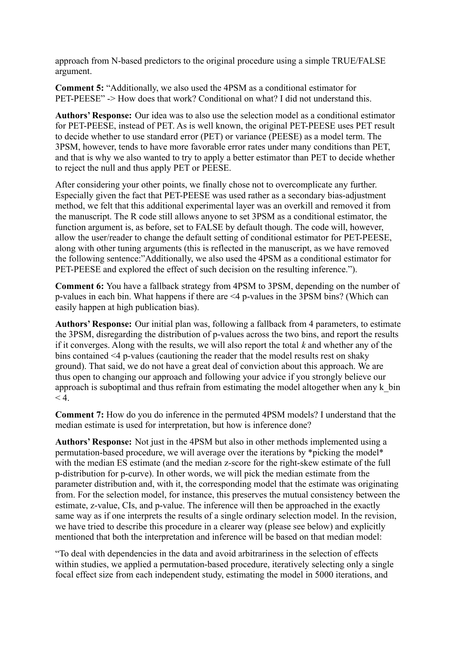approach from N-based predictors to the original procedure using a simple TRUE/FALSE argument.

**Comment 5:** "Additionally, we also used the 4PSM as a conditional estimator for PET-PEESE" -> How does that work? Conditional on what? I did not understand this.

**Authors' Response:** Our idea was to also use the selection model as a conditional estimator for PET-PEESE, instead of PET. As is well known, the original PET-PEESE uses PET result to decide whether to use standard error (PET) or variance (PEESE) as a model term. The 3PSM, however, tends to have more favorable error rates under many conditions than PET, and that is why we also wanted to try to apply a better estimator than PET to decide whether to reject the null and thus apply PET or PEESE.

After considering your other points, we finally chose not to overcomplicate any further. Especially given the fact that PET-PEESE was used rather as a secondary bias-adjustment method, we felt that this additional experimental layer was an overkill and removed it from the manuscript. The R code still allows anyone to set 3PSM as a conditional estimator, the function argument is, as before, set to FALSE by default though. The code will, however, allow the user/reader to change the default setting of conditional estimator for PET-PEESE, along with other tuning arguments (this is reflected in the manuscript, as we have removed the following sentence:"Additionally, we also used the 4PSM as a conditional estimator for PET-PEESE and explored the effect of such decision on the resulting inference.").

**Comment 6:** You have a fallback strategy from 4PSM to 3PSM, depending on the number of p-values in each bin. What happens if there are <4 p-values in the 3PSM bins? (Which can easily happen at high publication bias).

**Authors' Response:** Our initial plan was, following a fallback from 4 parameters, to estimate the 3PSM, disregarding the distribution of p-values across the two bins, and report the results if it converges. Along with the results, we will also report the total *k* and whether any of the bins contained <4 p-values (cautioning the reader that the model results rest on shaky ground). That said, we do not have a great deal of conviction about this approach. We are thus open to changing our approach and following your advice if you strongly believe our approach is suboptimal and thus refrain from estimating the model altogether when any k\_bin  $< 4.$ 

**Comment 7:** How do you do inference in the permuted 4PSM models? I understand that the median estimate is used for interpretation, but how is inference done?

**Authors' Response:** Not just in the 4PSM but also in other methods implemented using a permutation-based procedure, we will average over the iterations by \*picking the model\* with the median ES estimate (and the median z-score for the right-skew estimate of the full p-distribution for p-curve). In other words, we will pick the median estimate from the parameter distribution and, with it, the corresponding model that the estimate was originating from. For the selection model, for instance, this preserves the mutual consistency between the estimate, z-value, CIs, and p-value. The inference will then be approached in the exactly same way as if one interprets the results of a single ordinary selection model. In the revision, we have tried to describe this procedure in a clearer way (please see below) and explicitly mentioned that both the interpretation and inference will be based on that median model:

"To deal with dependencies in the data and avoid arbitrariness in the selection of effects within studies, we applied a permutation-based procedure, iteratively selecting only a single focal effect size from each independent study, estimating the model in 5000 iterations, and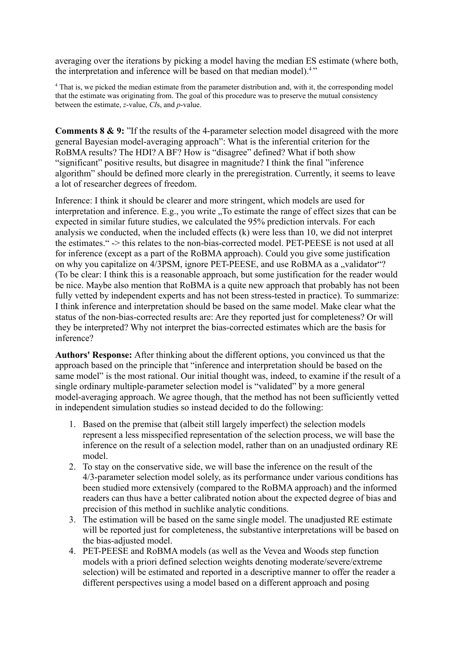averaging over the iterations by picking a model having the median ES estimate (where both, the interpretation and inference will be based on that median model).<sup>4</sup> "

<sup>4</sup> That is, we picked the median estimate from the parameter distribution and, with it, the corresponding model that the estimate was originating from. The goal of this procedure was to preserve the mutual consistency between the estimate, *z*-value, *CI*s, and *p*-value.

**Comments 8 & 9:** "If the results of the 4-parameter selection model disagreed with the more general Bayesian model-averaging approach": What is the inferential criterion for the RoBMA results? The HDI? A BF? How is "disagree" defined? What if both show "significant" positive results, but disagree in magnitude? I think the final "inference algorithm" should be defined more clearly in the preregistration. Currently, it seems to leave a lot of researcher degrees of freedom.

Inference: I think it should be clearer and more stringent, which models are used for interpretation and inference. E.g., you write "To estimate the range of effect sizes that can be expected in similar future studies, we calculated the 95% prediction intervals. For each analysis we conducted, when the included effects (k) were less than 10, we did not interpret the estimates." -> this relates to the non-bias-corrected model. PET-PEESE is not used at all for inference (except as a part of the RoBMA approach). Could you give some justification on why you capitalize on 4/3PSM, ignore PET-PEESE, and use RoBMA as a "validator"? (To be clear: I think this is a reasonable approach, but some justification for the reader would be nice. Maybe also mention that RoBMA is a quite new approach that probably has not been fully vetted by independent experts and has not been stress-tested in practice). To summarize: I think inference and interpretation should be based on the same model. Make clear what the status of the non-bias-corrected results are: Are they reported just for completeness? Or will they be interpreted? Why not interpret the bias-corrected estimates which are the basis for inference?

**Authors' Response:** After thinking about the different options, you convinced us that the approach based on the principle that "inference and interpretation should be based on the same model" is the most rational. Our initial thought was, indeed, to examine if the result of a single ordinary multiple-parameter selection model is "validated" by a more general model-averaging approach. We agree though, that the method has not been sufficiently vetted in independent simulation studies so instead decided to do the following:

- 1. Based on the premise that (albeit still largely imperfect) the selection models represent a less misspecified representation of the selection process, we will base the inference on the result of a selection model, rather than on an unadjusted ordinary RE model.
- 2. To stay on the conservative side, we will base the inference on the result of the 4/3-parameter selection model solely, as its performance under various conditions has been studied more extensively (compared to the RoBMA approach) and the informed readers can thus have a better calibrated notion about the expected degree of bias and precision of this method in suchlike analytic conditions.
- 3. The estimation will be based on the same single model. The unadjusted RE estimate will be reported just for completeness, the substantive interpretations will be based on the bias-adjusted model.
- 4. PET-PEESE and RoBMA models (as well as the Vevea and Woods step function models with a priori defined selection weights denoting moderate/severe/extreme selection) will be estimated and reported in a descriptive manner to offer the reader a different perspectives using a model based on a different approach and posing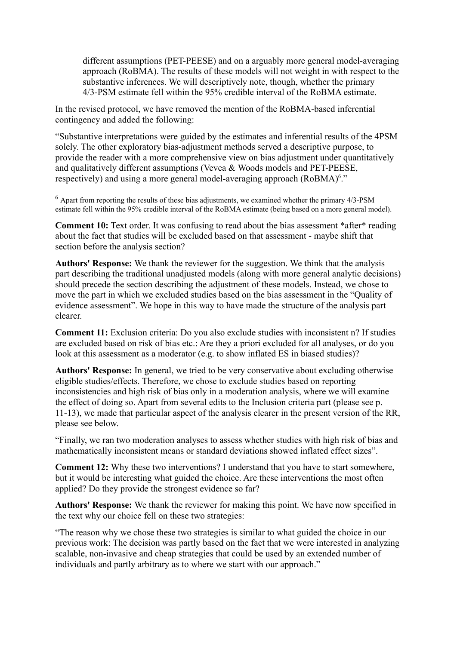different assumptions (PET-PEESE) and on a arguably more general model-averaging approach (RoBMA). The results of these models will not weight in with respect to the substantive inferences. We will descriptively note, though, whether the primary 4/3-PSM estimate fell within the 95% credible interval of the RoBMA estimate.

In the revised protocol, we have removed the mention of the RoBMA-based inferential contingency and added the following:

"Substantive interpretations were guided by the estimates and inferential results of the 4PSM solely. The other exploratory bias-adjustment methods served a descriptive purpose, to provide the reader with a more comprehensive view on bias adjustment under quantitatively and qualitatively different assumptions (Vevea & Woods models and PET-PEESE, respectively) and using a more general model-averaging approach (RoBMA)<sup>6</sup>."

 $6$  Apart from reporting the results of these bias adjustments, we examined whether the primary  $4/3$ -PSM estimate fell within the 95% credible interval of the RoBMA estimate (being based on a more general model).

**Comment 10:** Text order. It was confusing to read about the bias assessment \*after\* reading about the fact that studies will be excluded based on that assessment - maybe shift that section before the analysis section?

**Authors' Response:** We thank the reviewer for the suggestion. We think that the analysis part describing the traditional unadjusted models (along with more general analytic decisions) should precede the section describing the adjustment of these models. Instead, we chose to move the part in which we excluded studies based on the bias assessment in the "Quality of evidence assessment". We hope in this way to have made the structure of the analysis part clearer.

**Comment 11:** Exclusion criteria: Do you also exclude studies with inconsistent n? If studies are excluded based on risk of bias etc.: Are they a priori excluded for all analyses, or do you look at this assessment as a moderator (e.g. to show inflated ES in biased studies)?

**Authors' Response:** In general, we tried to be very conservative about excluding otherwise eligible studies/effects. Therefore, we chose to exclude studies based on reporting inconsistencies and high risk of bias only in a moderation analysis, where we will examine the effect of doing so. Apart from several edits to the Inclusion criteria part (please see p. 11-13), we made that particular aspect of the analysis clearer in the present version of the RR, please see below.

"Finally, we ran two moderation analyses to assess whether studies with high risk of bias and mathematically inconsistent means or standard deviations showed inflated effect sizes".

**Comment 12:** Why these two interventions? I understand that you have to start somewhere, but it would be interesting what guided the choice. Are these interventions the most often applied? Do they provide the strongest evidence so far?

**Authors' Response:** We thank the reviewer for making this point. We have now specified in the text why our choice fell on these two strategies:

"The reason why we chose these two strategies is similar to what guided the choice in our previous work: The decision was partly based on the fact that we were interested in analyzing scalable, non-invasive and cheap strategies that could be used by an extended number of individuals and partly arbitrary as to where we start with our approach."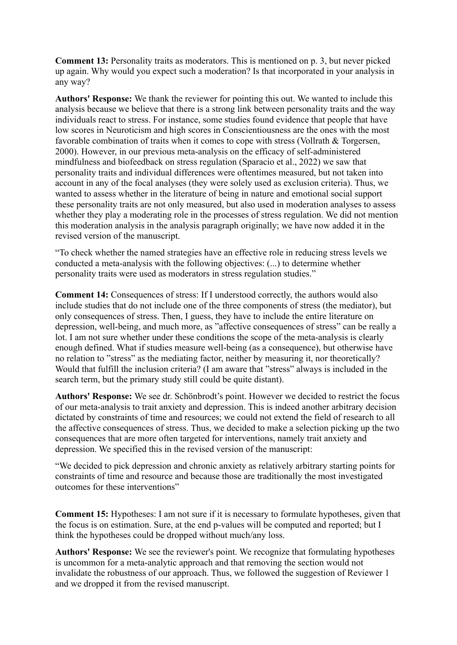**Comment 13:** Personality traits as moderators. This is mentioned on p. 3, but never picked up again. Why would you expect such a moderation? Is that incorporated in your analysis in any way?

**Authors' Response:** We thank the reviewer for pointing this out. We wanted to include this analysis because we believe that there is a strong link between personality traits and the way individuals react to stress. For instance, some studies found evidence that people that have low scores in Neuroticism and high scores in Conscientiousness are the ones with the most favorable combination of traits when it comes to cope with stress (Vollrath & Torgersen, 2000). However, in our previous meta-analysis on the efficacy of self-administered mindfulness and biofeedback on stress regulation (Sparacio et al., 2022) we saw that personality traits and individual differences were oftentimes measured, but not taken into account in any of the focal analyses (they were solely used as exclusion criteria). Thus, we wanted to assess whether in the literature of being in nature and emotional social support these personality traits are not only measured, but also used in moderation analyses to assess whether they play a moderating role in the processes of stress regulation. We did not mention this moderation analysis in the analysis paragraph originally; we have now added it in the revised version of the manuscript.

"To check whether the named strategies have an effective role in reducing stress levels we conducted a meta-analysis with the following objectives: (...) to determine whether personality traits were used as moderators in stress regulation studies."

**Comment 14:** Consequences of stress: If I understood correctly, the authors would also include studies that do not include one of the three components of stress (the mediator), but only consequences of stress. Then, I guess, they have to include the entire literature on depression, well-being, and much more, as "affective consequences of stress" can be really a lot. I am not sure whether under these conditions the scope of the meta-analysis is clearly enough defined. What if studies measure well-being (as a consequence), but otherwise have no relation to "stress" as the mediating factor, neither by measuring it, nor theoretically? Would that fulfill the inclusion criteria? (I am aware that "stress" always is included in the search term, but the primary study still could be quite distant).

**Authors' Response:** We see dr. Schönbrodt's point. However we decided to restrict the focus of our meta-analysis to trait anxiety and depression. This is indeed another arbitrary decision dictated by constraints of time and resources; we could not extend the field of research to all the affective consequences of stress. Thus, we decided to make a selection picking up the two consequences that are more often targeted for interventions, namely trait anxiety and depression. We specified this in the revised version of the manuscript:

"We decided to pick depression and chronic anxiety as relatively arbitrary starting points for constraints of time and resource and because those are traditionally the most investigated outcomes for these interventions"

**Comment 15:** Hypotheses: I am not sure if it is necessary to formulate hypotheses, given that the focus is on estimation. Sure, at the end p-values will be computed and reported; but I think the hypotheses could be dropped without much/any loss.

**Authors' Response:** We see the reviewer's point. We recognize that formulating hypotheses is uncommon for a meta-analytic approach and that removing the section would not invalidate the robustness of our approach. Thus, we followed the suggestion of Reviewer 1 and we dropped it from the revised manuscript.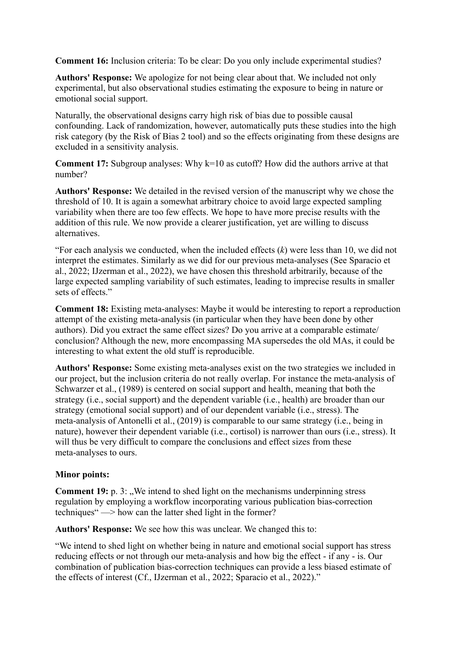**Comment 16:** Inclusion criteria: To be clear: Do you only include experimental studies?

**Authors' Response:** We apologize for not being clear about that. We included not only experimental, but also observational studies estimating the exposure to being in nature or emotional social support.

Naturally, the observational designs carry high risk of bias due to possible causal confounding. Lack of randomization, however, automatically puts these studies into the high risk category (by the Risk of Bias 2 tool) and so the effects originating from these designs are excluded in a sensitivity analysis.

**Comment 17:** Subgroup analyses: Why k=10 as cutoff? How did the authors arrive at that number?

**Authors' Response:** We detailed in the revised version of the manuscript why we chose the threshold of 10. It is again a somewhat arbitrary choice to avoid large expected sampling variability when there are too few effects. We hope to have more precise results with the addition of this rule. We now provide a clearer justification, yet are willing to discuss alternatives.

"For each analysis we conducted, when the included effects  $(k)$  were less than 10, we did not interpret the estimates. Similarly as we did for our previous meta-analyses (See Sparacio et al., 2022; IJzerman et al., 2022), we have chosen this threshold arbitrarily, because of the large expected sampling variability of such estimates, leading to imprecise results in smaller sets of effects."

**Comment 18:** Existing meta-analyses: Maybe it would be interesting to report a reproduction attempt of the existing meta-analysis (in particular when they have been done by other authors). Did you extract the same effect sizes? Do you arrive at a comparable estimate/ conclusion? Although the new, more encompassing MA supersedes the old MAs, it could be interesting to what extent the old stuff is reproducible.

**Authors' Response:** Some existing meta-analyses exist on the two strategies we included in our project, but the inclusion criteria do not really overlap. For instance the meta-analysis of Schwarzer et al., (1989) is centered on social support and health, meaning that both the strategy (i.e., social support) and the dependent variable (i.e., health) are broader than our strategy (emotional social support) and of our dependent variable (i.e., stress). The meta-analysis of Antonelli et al., (2019) is comparable to our same strategy (i.e., being in nature), however their dependent variable (i.e., cortisol) is narrower than ours (i.e., stress). It will thus be very difficult to compare the conclusions and effect sizes from these meta-analyses to ours.

# **Minor points:**

**Comment 19:** p. 3: ..We intend to shed light on the mechanisms underpinning stress regulation by employing a workflow incorporating various publication bias-correction techniques" —> how can the latter shed light in the former?

**Authors' Response:** We see how this was unclear. We changed this to:

"We intend to shed light on whether being in nature and emotional social support has stress reducing effects or not through our meta-analysis and how big the effect - if any - is. Our combination of publication bias-correction techniques can provide a less biased estimate of the effects of interest (Cf., IJzerman et al., 2022; Sparacio et al., 2022)."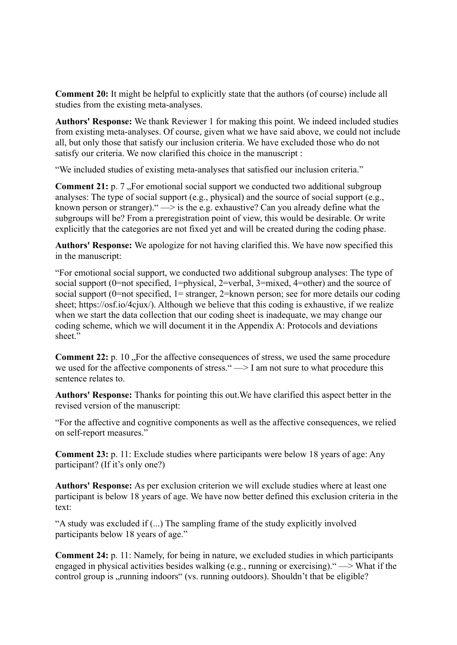**Comment 20:** It might be helpful to explicitly state that the authors (of course) include all studies from the existing meta-analyses.

**Authors' Response:** We thank Reviewer 1 for making this point. We indeed included studies from existing meta-analyses. Of course, given what we have said above, we could not include all, but only those that satisfy our inclusion criteria. We have excluded those who do not satisfy our criteria. We now clarified this choice in the manuscript :

"We included studies of existing meta-analyses that satisfied our inclusion criteria."

**Comment 21:** p. 7, For emotional social support we conducted two additional subgroup analyses: The type of social support (e.g., physical) and the source of social support (e.g., known person or stranger).  $\rightarrow$  is the e.g. exhaustive? Can you already define what the subgroups will be? From a preregistration point of view, this would be desirable. Or write explicitly that the categories are not fixed yet and will be created during the coding phase.

**Authors' Response:** We apologize for not having clarified this. We have now specified this in the manuscript:

"For emotional social support, we conducted two additional subgroup analyses: The type of social support (0=not specified, 1=physical, 2=verbal, 3=mixed, 4=other) and the source of social support (0=not specified, 1= stranger, 2=known person; see for more details our coding sheet; https://osf.io/4cjux/). Although we believe that this coding is exhaustive, if we realize when we start the data collection that our coding sheet is inadequate, we may change our coding scheme, which we will document it in the Appendix A: Protocols and deviations sheet."

**Comment 22:** p. 10 "For the affective consequences of stress, we used the same procedure we used for the affective components of stress." —> I am not sure to what procedure this sentence relates to.

**Authors' Response:** Thanks for pointing this out.We have clarified this aspect better in the revised version of the manuscript:

"For the affective and cognitive components as well as the affective consequences, we relied on self-report measures."

**Comment 23:** p. 11: Exclude studies where participants were below 18 years of age: Any participant? (If it's only one?)

**Authors' Response:** As per exclusion criterion we will exclude studies where at least one participant is below 18 years of age. We have now better defined this exclusion criteria in the text:

"A study was excluded if (...) The sampling frame of the study explicitly involved participants below 18 years of age."

**Comment 24:** p. 11: Namely, for being in nature, we excluded studies in which participants engaged in physical activities besides walking (e.g., running or exercising)." —> What if the control group is "running indoors" (vs. running outdoors). Shouldn't that be eligible?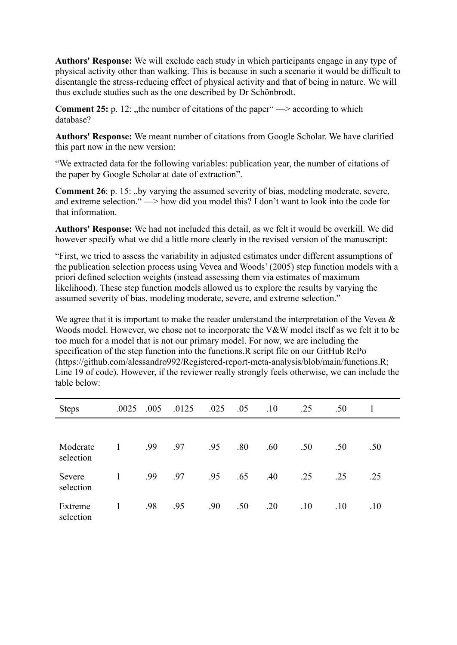**Authors' Response:** We will exclude each study in which participants engage in any type of physical activity other than walking. This is because in such a scenario it would be difficult to disentangle the stress-reducing effect of physical activity and that of being in nature. We will thus exclude studies such as the one described by Dr Schönbrodt.

**Comment 25:** p. 12: the number of citations of the paper  $\rightarrow$  according to which database?

**Authors' Response:** We meant number of citations from Google Scholar. We have clarified this part now in the new version:

"We extracted data for the following variables: publication year, the number of citations of the paper by Google Scholar at date of extraction".

**Comment 26**: p. 15: "by varying the assumed severity of bias, modeling moderate, severe, and extreme selection." —> how did you model this? I don't want to look into the code for that information.

**Authors' Response:** We had not included this detail, as we felt it would be overkill. We did however specify what we did a little more clearly in the revised version of the manuscript:

"First, we tried to assess the variability in adjusted estimates under different assumptions of the publication selection process using Vevea and Woods' (2005) step function models with a priori defined selection weights (instead assessing them via estimates of maximum likelihood). These step function models allowed us to explore the results by varying the assumed severity of bias, modeling moderate, severe, and extreme selection."

We agree that it is important to make the reader understand the interpretation of the Vevea  $\&$ Woods model. However, we chose not to incorporate the V&W model itself as we felt it to be too much for a model that is not our primary model. For now, we are including the specification of the step function into the functions.R script file on our GitHub RePo (https://github.com/alessandro992/Registered-report-meta-analysis/blob/main/functions.R; Line 19 of code). However, if the reviewer really strongly feels otherwise, we can include the table below:

| <b>Steps</b>          | .0025 | .005 | .0125 | .025 | .05 | .10 | .25 | .50 |     |  |
|-----------------------|-------|------|-------|------|-----|-----|-----|-----|-----|--|
|                       |       |      |       |      |     |     |     |     |     |  |
| Moderate<br>selection | 1     | .99  | .97   | .95  | .80 | .60 | .50 | .50 | .50 |  |
| Severe<br>selection   | 1     | .99  | .97   | .95  | .65 | .40 | .25 | .25 | .25 |  |
| Extreme<br>selection  | 1     | .98  | .95   | .90  | .50 | .20 | .10 | .10 | .10 |  |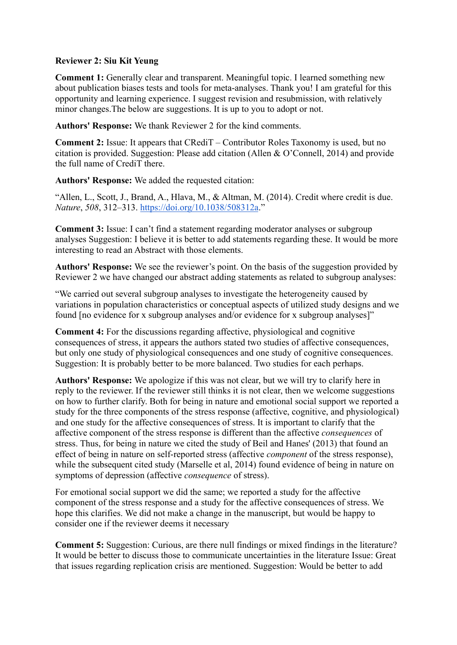# **Reviewer 2: Siu Kit Yeung**

**Comment 1:** Generally clear and transparent. Meaningful topic. I learned something new about publication biases tests and tools for meta-analyses. Thank you! I am grateful for this opportunity and learning experience. I suggest revision and resubmission, with relatively minor changes.The below are suggestions. It is up to you to adopt or not.

**Authors' Response:** We thank Reviewer 2 for the kind comments.

**Comment 2:** Issue: It appears that CRediT – Contributor Roles Taxonomy is used, but no citation is provided. Suggestion: Please add citation (Allen & O'Connell, 2014) and provide the full name of CrediT there.

**Authors' Response:** We added the requested citation:

"Allen, L., Scott, J., Brand, A., Hlava, M., & Altman, M. (2014). Credit where credit is due. *Nature*, *508*, 312–313. <https://doi.org/10.1038/508312a>."

**Comment 3:** Issue: I can't find a statement regarding moderator analyses or subgroup analyses Suggestion: I believe it is better to add statements regarding these. It would be more interesting to read an Abstract with those elements.

**Authors' Response:** We see the reviewer's point. On the basis of the suggestion provided by Reviewer 2 we have changed our abstract adding statements as related to subgroup analyses:

"We carried out several subgroup analyses to investigate the heterogeneity caused by variations in population characteristics or conceptual aspects of utilized study designs and we found [no evidence for x subgroup analyses and/or evidence for x subgroup analyses]"

**Comment 4:** For the discussions regarding affective, physiological and cognitive consequences of stress, it appears the authors stated two studies of affective consequences, but only one study of physiological consequences and one study of cognitive consequences. Suggestion: It is probably better to be more balanced. Two studies for each perhaps.

**Authors' Response:** We apologize if this was not clear, but we will try to clarify here in reply to the reviewer. If the reviewer still thinks it is not clear, then we welcome suggestions on how to further clarify. Both for being in nature and emotional social support we reported a study for the three components of the stress response (affective, cognitive, and physiological) and one study for the affective consequences of stress. It is important to clarify that the affective component of the stress response is different than the affective *consequences* of stress. Thus, for being in nature we cited the study of Beil and Hanes' (2013) that found an effect of being in nature on self-reported stress (affective *component* of the stress response), while the subsequent cited study (Marselle et al, 2014) found evidence of being in nature on symptoms of depression (affective *consequence* of stress).

For emotional social support we did the same; we reported a study for the affective component of the stress response and a study for the affective consequences of stress. We hope this clarifies. We did not make a change in the manuscript, but would be happy to consider one if the reviewer deems it necessary

**Comment 5:** Suggestion: Curious, are there null findings or mixed findings in the literature? It would be better to discuss those to communicate uncertainties in the literature Issue: Great that issues regarding replication crisis are mentioned. Suggestion: Would be better to add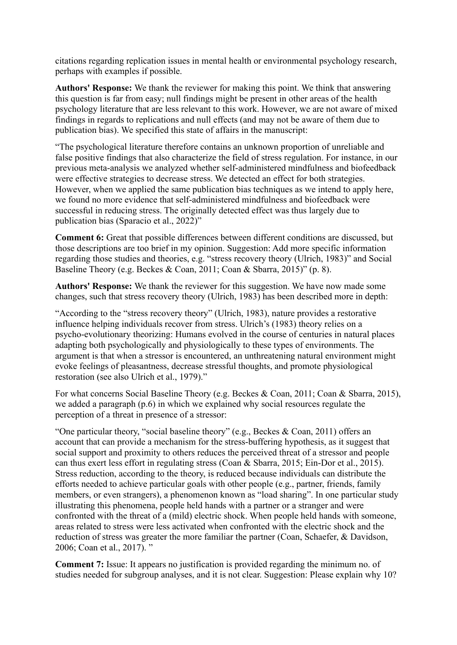citations regarding replication issues in mental health or environmental psychology research, perhaps with examples if possible.

**Authors' Response:** We thank the reviewer for making this point. We think that answering this question is far from easy; null findings might be present in other areas of the health psychology literature that are less relevant to this work. However, we are not aware of mixed findings in regards to replications and null effects (and may not be aware of them due to publication bias). We specified this state of affairs in the manuscript:

"The psychological literature therefore contains an unknown proportion of unreliable and false positive findings that also characterize the field of stress regulation. For instance, in our previous meta-analysis we analyzed whether self-administered mindfulness and biofeedback were effective strategies to decrease stress. We detected an effect for both strategies. However, when we applied the same publication bias techniques as we intend to apply here, we found no more evidence that self-administered mindfulness and biofeedback were successful in reducing stress. The originally detected effect was thus largely due to publication bias (Sparacio et al., 2022)"

**Comment 6:** Great that possible differences between different conditions are discussed, but those descriptions are too brief in my opinion. Suggestion: Add more specific information regarding those studies and theories, e.g. "stress recovery theory (Ulrich, 1983)" and Social Baseline Theory (e.g. Beckes & Coan, 2011; Coan & Sbarra, 2015)" (p. 8).

**Authors' Response:** We thank the reviewer for this suggestion. We have now made some changes, such that stress recovery theory (Ulrich, 1983) has been described more in depth:

"According to the "stress recovery theory" (Ulrich, 1983), nature provides a restorative influence helping individuals recover from stress. Ulrich's (1983) theory relies on a psycho-evolutionary theorizing: Humans evolved in the course of centuries in natural places adapting both psychologically and physiologically to these types of environments. The argument is that when a stressor is encountered, an unthreatening natural environment might evoke feelings of pleasantness, decrease stressful thoughts, and promote physiological restoration (see also Ulrich et al., 1979)."

For what concerns Social Baseline Theory (e.g. Beckes & Coan, 2011; Coan & Sbarra, 2015), we added a paragraph (p.6) in which we explained why social resources regulate the perception of a threat in presence of a stressor:

"One particular theory, "social baseline theory" (e.g., Beckes & Coan, 2011) offers an account that can provide a mechanism for the stress-buffering hypothesis, as it suggest that social support and proximity to others reduces the perceived threat of a stressor and people can thus exert less effort in regulating stress (Coan & Sbarra, 2015; Ein-Dor et al., 2015). Stress reduction, according to the theory, is reduced because individuals can distribute the efforts needed to achieve particular goals with other people (e.g., partner, friends, family members, or even strangers), a phenomenon known as "load sharing". In one particular study illustrating this phenomena, people held hands with a partner or a stranger and were confronted with the threat of a (mild) electric shock. When people held hands with someone, areas related to stress were less activated when confronted with the electric shock and the reduction of stress was greater the more familiar the partner (Coan, Schaefer, & Davidson, 2006; Coan et al., 2017). "

**Comment 7:** Issue: It appears no justification is provided regarding the minimum no. of studies needed for subgroup analyses, and it is not clear. Suggestion: Please explain why 10?